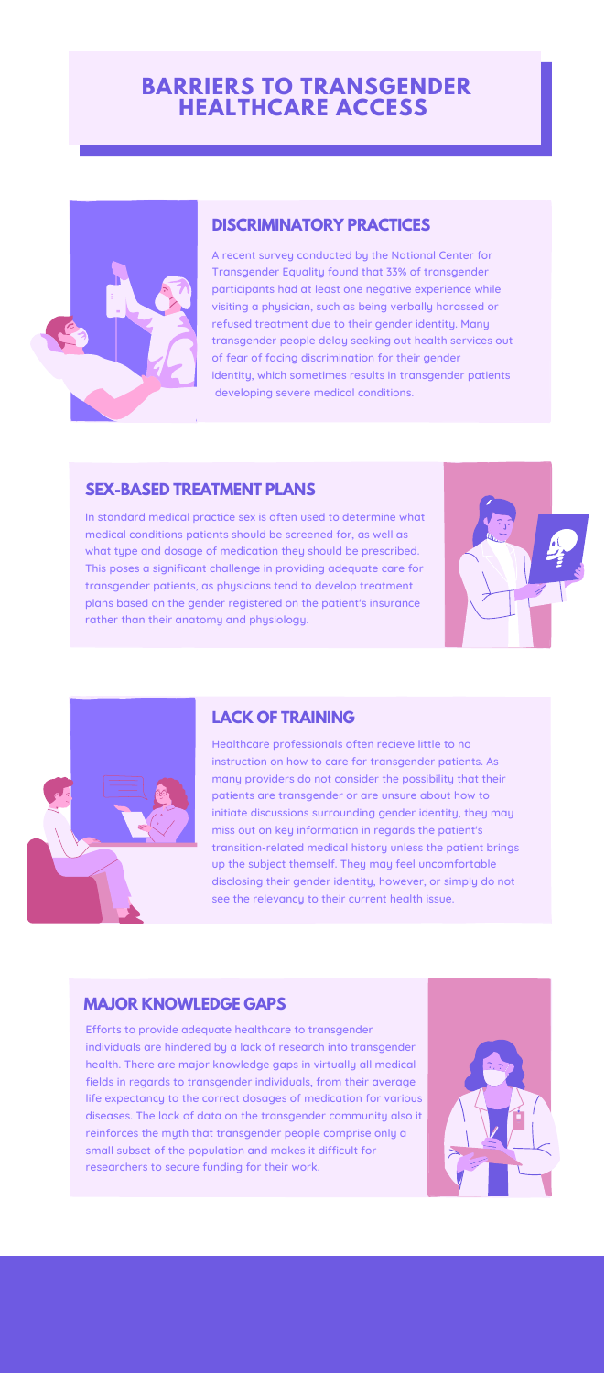In standard medical practice sex is often used to determine what medical conditions patients should be screened for, as well as what type and dosage of medication they should be prescribed. This poses a significant challenge in providing adequate care for transgender patients, as physicians tend to develop treatment plans based on the gender registered on the patient's insurance rather than their anatomy and physiology.





#### **SEX-BASED TREATMENT PLANS**

## **BARRIERS TO TRANSGENDER HEALTHCARE ACCESS**



Healthcare professionals often recieve little to no instruction on how to care for transgender patients. As many providers do not consider the possibility that their patients are transgender or are unsure about how to initiate discussions surrounding gender identity, they may miss out on key information in regards the patient's transition-related medical history unless the patient brings up the subject themself. They may feel uncomfortable disclosing their gender identity, however, or simply do not see the relevancy to their current health issue.

### **LACK OF TRAINING**

A recent survey conducted by the National Center for Transgender Equality found that 33% of transgender participants had at least one negative experience while visiting a physician, such as being verbally harassed or refused treatment due to their gender identity. Many transgender people delay seeking out health services out of fear of facing discrimination for their gender identity, which sometimes results in transgender patients developing severe medical conditions.

#### **DISCRIMINATORY PRACTICES**

Efforts to provide adequate healthcare to transgender individuals are hindered by a lack of research into transgender health. There are major knowledge gaps in virtually all medical fields in regards to transgender individuals, from their average life expectancy to the correct dosages of medication for various diseases. The lack of data on the transgender community also it reinforces the myth that transgender people comprise only a small subset of the population and makes it difficult for researchers to secure funding for their work.



#### **MAJOR KNOWLEDGE GAPS**